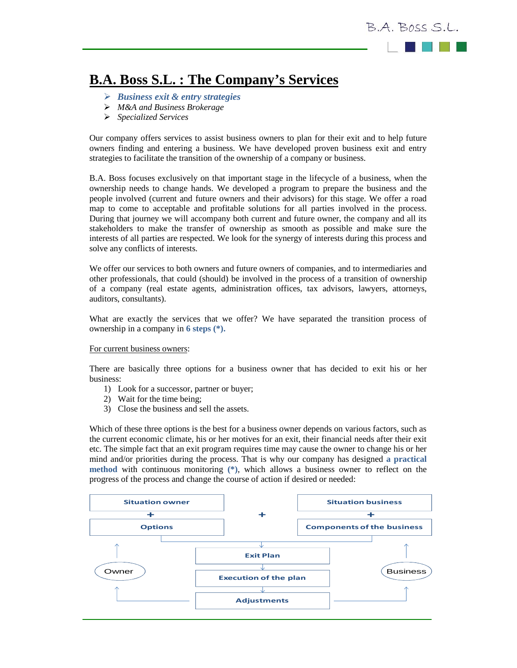

## **B.A. Boss S.L. : The Company's Services**

- *Business exit & entry strategies*
- *M&A and Business Brokerage*
- *Specialized Services*

Our company offers services to assist business owners to plan for their exit and to help future owners finding and entering a business. We have developed proven business exit and entry strategies to facilitate the transition of the ownership of a company or business.

B.A. Boss focuses exclusively on that important stage in the lifecycle of a business, when the ownership needs to change hands. We developed a program to prepare the business and the people involved (current and future owners and their advisors) for this stage. We offer a road map to come to acceptable and profitable solutions for all parties involved in the process. During that journey we will accompany both current and future owner, the company and all its stakeholders to make the transfer of ownership as smooth as possible and make sure the interests of all parties are respected. We look for the synergy of interests during this process and solve any conflicts of interests.

We offer our services to both owners and future owners of companies, and to intermediaries and other professionals, that could (should) be involved in the process of a transition of ownership of a company (real estate agents, administration offices, tax advisors, lawyers, attorneys, auditors, consultants).

What are exactly the services that we offer? We have separated the transition process of ownership in a company in **6 steps (\*).**

## For current business owners:

There are basically three options for a business owner that has decided to exit his or her business:

- 1) Look for a successor, partner or buyer;
- 2) Wait for the time being;
- 3) Close the business and sell the assets.

Which of these three options is the best for a business owner depends on various factors, such as the current economic climate, his or her motives for an exit, their financial needs after their exit etc. The simple fact that an exit program requires time may cause the owner to change his or her mind and/or priorities during the process. That is why our company has designed **a practical method** with continuous monitoring **(\*)**, which allows a business owner to reflect on the progress of the process and change the course of action if desired or needed: